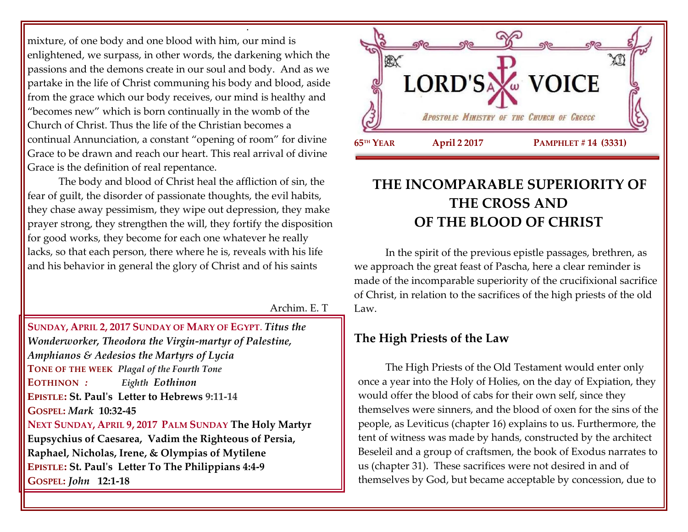mixture, of one body and one blood with him, our mind is enlightened, we surpass, in other words, the darkening which the passions and the demons create in our soul and body. And as we partake in the life of Christ communing his body and blood, aside from the grace which our body receives, our mind is healthy and "becomes new" which is born continually in the womb of the Church of Christ. Thus the life of the Christian becomes a continual Annunciation, a constant "opening of room" for divine Grace to be drawn and reach our heart. This real arrival of divine Grace is the definition of real repentance.

.

The body and blood of Christ heal the affliction of sin, the fear of guilt, the disorder of passionate thoughts, the evil habits, they chase away pessimism, they wipe out depression, they make prayer strong, they strengthen the will, they fortify the disposition for good works, they become for each one whatever he really lacks, so that each person, there where he is, reveals with his life and his behavior in general the glory of Christ and of his saints

Archim. E. T

**SUNDAY, APRIL 2, 2017 SUNDAY OF MARY OF EGYPT**. *Titus the Wonderworker, Theodora the Virgin-martyr of Palestine, Amphianos & Aedesios the Martyrs of Lycia* **TONE OF THE WEEK** *Plagal of the Fourth Tone* **EOTHINON** *: Eighth Eothinon* **EPISTLE: St. Paul's Letter to Hebrews 9:11-14 GOSPEL:** *Mark* **10:32-45 NEXT SUNDAY, APRIL 9, 2017 PALM SUNDAY The Holy Martyr Eupsychius of Caesarea, Vadim the Righteous of Persia, Raphael, Nicholas, Irene, & Olympias of Mytilene EPISTLE: St. Paul's Letter To The Philippians 4:4-9 GOSPEL:** *John* **12:1-18**



# **THE INCOMPARABLE SUPERIORITY OF THE CROSS AND OF THE BLOOD OF CHRIST**

In the spirit of the previous epistle passages, brethren, as we approach the great feast of Pascha, here a clear reminder is made of the incomparable superiority of the crucifixional sacrifice of Christ, in relation to the sacrifices of the high priests of the old Law.

## **The High Priests of the Law**

The High Priests of the Old Testament would enter only once a year into the Holy of Holies, on the day of Expiation, they would offer the blood of cabs for their own self, since they themselves were sinners, and the blood of oxen for the sins of the people, as Leviticus (chapter 16) explains to us. Furthermore, the tent of witness was made by hands, constructed by the architect Beseleil and a group of craftsmen, the book of Exodus narrates to us (chapter 31). These sacrifices were not desired in and of themselves by God, but became acceptable by concession, due to